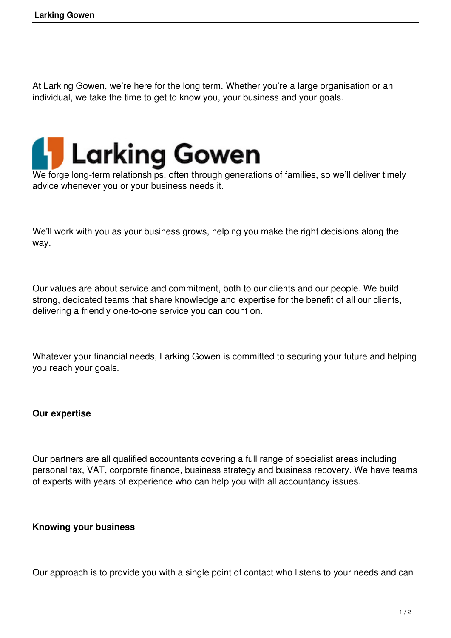At Larking Gowen, we're here for the long term. Whether you're a large organisation or an individual, we take the time to get to know you, your business and your goals.



We forge long-term relationships, often through generations of families, so we'll deliver timely advice whenever you or your business needs it.

We'll work with you as your business grows, helping you make the right decisions along the way.

Our values are about service and commitment, both to our clients and our people. We build strong, dedicated teams that share knowledge and expertise for the benefit of all our clients, delivering a friendly one-to-one service you can count on.

Whatever your financial needs, Larking Gowen is committed to securing your future and helping you reach your goals.

## **Our expertise**

Our partners are all qualified accountants covering a full range of specialist areas including personal tax, VAT, corporate finance, business strategy and business recovery. We have teams of experts with years of experience who can help you with all accountancy issues.

## **Knowing your business**

Our approach is to provide you with a single point of contact who listens to your needs and can